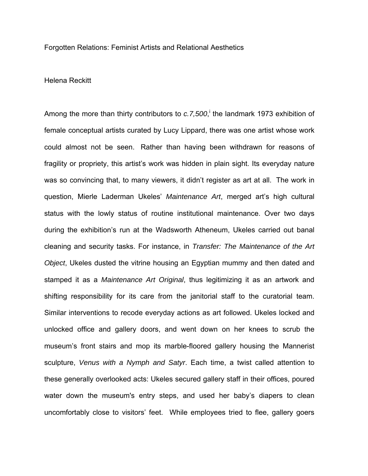Forgotten Relations: Feminist Artists and Relational Aesthetics

Helena Reckitt

Among the more than thirty contributors to *c.7,500*,<sup>i</sup> the landmark 1973 exhibition of female conceptual artists curated by Lucy Lippard, there was one artist whose work could almost not be seen. Rather than having been withdrawn for reasons of fragility or propriety, this artist's work was hidden in plain sight. Its everyday nature was so convincing that, to many viewers, it didn't register as art at all. The work in question, Mierle Laderman Ukeles' *Maintenance Art*, merged art's high cultural status with the lowly status of routine institutional maintenance. Over two days during the exhibition's run at the Wadsworth Atheneum, Ukeles carried out banal cleaning and security tasks. For instance, in *Transfer: The Maintenance of the Art Object*, Ukeles dusted the vitrine housing an Egyptian mummy and then dated and stamped it as a *Maintenance Art Original*, thus legitimizing it as an artwork and shifting responsibility for its care from the janitorial staff to the curatorial team. Similar interventions to recode everyday actions as art followed. Ukeles locked and unlocked office and gallery doors, and went down on her knees to scrub the museum's front stairs and mop its marble-floored gallery housing the Mannerist sculpture, *Venus with a Nymph and Satyr*. Each time, a twist called attention to these generally overlooked acts: Ukeles secured gallery staff in their offices, poured water down the museum's entry steps, and used her baby's diapers to clean uncomfortably close to visitors' feet. While employees tried to flee, gallery goers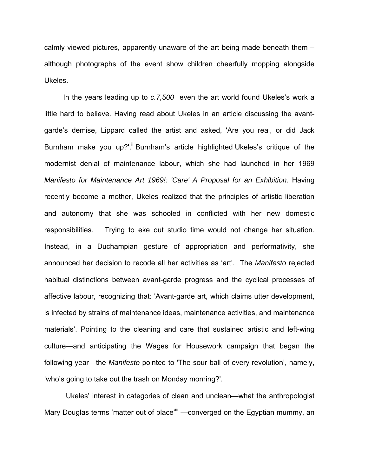calmly viewed pictures, apparently unaware of the art being made beneath them – although photographs of the event show children cheerfully mopping alongside Ukeles.

In the years leading up to *c.7,500* even the art world found Ukeles's work a little hard to believe. Having read about Ukeles in an article discussing the avantgarde's demise, Lippard called the artist and asked, 'Are you real, or did Jack Burnham make you up?'.<sup>ii</sup> Burnham's article highlighted Ukeles's critique of the modernist denial of maintenance labour, which she had launched in her 1969 *Manifesto for Maintenance Art 1969!: 'Care' A Proposal for an Exhibition*. Having recently become a mother, Ukeles realized that the principles of artistic liberation and autonomy that she was schooled in conflicted with her new domestic responsibilities. Trying to eke out studio time would not change her situation. Instead, in a Duchampian gesture of appropriation and performativity, she announced her decision to recode all her activities as 'art'. The *Manifesto* rejected habitual distinctions between avant-garde progress and the cyclical processes of affective labour, recognizing that: 'Avant-garde art, which claims utter development, is infected by strains of maintenance ideas, maintenance activities, and maintenance materials'. Pointing to the cleaning and care that sustained artistic and left-wing culture—and anticipating the Wages for Housework campaign that began the following year—the *Manifesto* pointed to 'The sour ball of every revolution', namely, 'who's going to take out the trash on Monday morning?'.

Ukeles' interest in categories of clean and unclean—what the anthropologist Mary Douglas terms 'matter out of place'<sup>iii</sup> —converged on the Egyptian mummy, an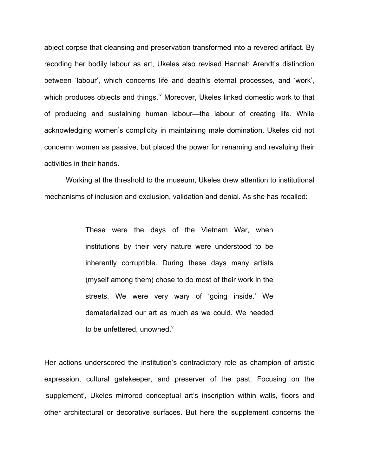abject corpse that cleansing and preservation transformed into a revered artifact. By recoding her bodily labour as art, Ukeles also revised Hannah Arendt's distinction between 'labour', which concerns life and death's eternal processes, and 'work', which produces objects and things.<sup>iv</sup> Moreover, Ukeles linked domestic work to that of producing and sustaining human labour—the labour of creating life. While acknowledging women's complicity in maintaining male domination, Ukeles did not condemn women as passive, but placed the power for renaming and revaluing their activities in their hands.

Working at the threshold to the museum, Ukeles drew attention to institutional mechanisms of inclusion and exclusion, validation and denial. As she has recalled:

> These were the days of the Vietnam War, when institutions by their very nature were understood to be inherently corruptible. During these days many artists (myself among them) chose to do most of their work in the streets. We were very wary of 'going inside.' We dematerialized our art as much as we could. We needed to be unfettered, unowned. $^{\vee}$

Her actions underscored the institution's contradictory role as champion of artistic expression, cultural gatekeeper, and preserver of the past. Focusing on the 'supplement', Ukeles mirrored conceptual art's inscription within walls, floors and other architectural or decorative surfaces. But here the supplement concerns the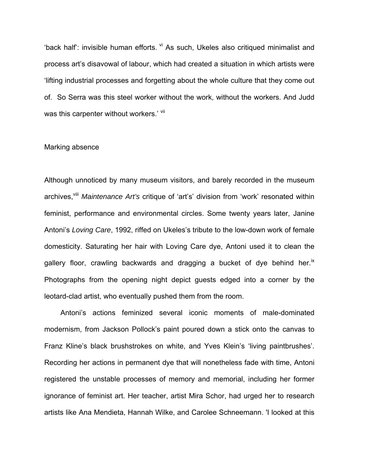'back half': invisible human efforts. Vi As such, Ukeles also critiqued minimalist and process art's disavowal of labour, which had created a situation in which artists were 'lifting industrial processes and forgetting about the whole culture that they come out of. So Serra was this steel worker without the work, without the workers. And Judd was this carpenter without workers.' Vil

# Marking absence

Although unnoticed by many museum visitors, and barely recorded in the museum archives,<sup>viii</sup> Maintenance Art's critique of 'art's' division from 'work' resonated within feminist, performance and environmental circles. Some twenty years later, Janine Antoni's *Loving Care*, 1992, riffed on Ukeles's tribute to the low-down work of female domesticity. Saturating her hair with Loving Care dye, Antoni used it to clean the gallery floor, crawling backwards and dragging a bucket of dye behind her.<sup>ix</sup> Photographs from the opening night depict guests edged into a corner by the leotard-clad artist, who eventually pushed them from the room.

 Antoni's actions feminized several iconic moments of male-dominated modernism, from Jackson Pollock's paint poured down a stick onto the canvas to Franz Kline's black brushstrokes on white, and Yves Klein's 'living paintbrushes'. Recording her actions in permanent dye that will nonetheless fade with time, Antoni registered the unstable processes of memory and memorial, including her former ignorance of feminist art. Her teacher, artist Mira Schor, had urged her to research artists like Ana Mendieta, Hannah Wilke, and Carolee Schneemann. 'I looked at this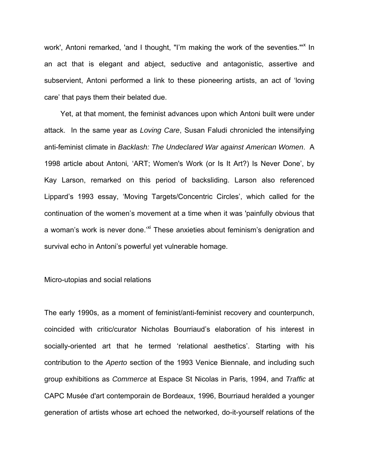work', Antoni remarked, 'and I thought, "I'm making the work of the seventies."<sup>\*</sup> In an act that is elegant and abject, seductive and antagonistic, assertive and subservient, Antoni performed a link to these pioneering artists, an act of 'loving care' that pays them their belated due.

Yet, at that moment, the feminist advances upon which Antoni built were under attack. In the same year as *Loving Care*, Susan Faludi chronicled the intensifying anti-feminist climate in *Backlash: The Undeclared War against American Women*. A 1998 article about Antoni*,* 'ART; Women's Work (or Is It Art?) Is Never Done', by Kay Larson, remarked on this period of backsliding. Larson also referenced Lippard's 1993 essay, 'Moving Targets/Concentric Circles', which called for the continuation of the women's movement at a time when it was 'painfully obvious that a woman's work is never done.<sup>'xi</sup> These anxieties about feminism's denigration and survival echo in Antoni's powerful yet vulnerable homage.

# Micro-utopias and social relations

The early 1990s, as a moment of feminist/anti-feminist recovery and counterpunch, coincided with critic/curator Nicholas Bourriaud's elaboration of his interest in socially-oriented art that he termed 'relational aesthetics'. Starting with his contribution to the *Aperto* section of the 1993 Venice Biennale, and including such group exhibitions as *Commerce* at Espace St Nicolas in Paris, 1994, and *Traffic* at CAPC Musée d'art contemporain de Bordeaux, 1996, Bourriaud heralded a younger generation of artists whose art echoed the networked, do-it-yourself relations of the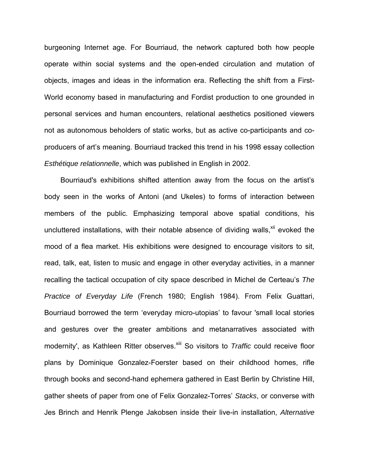burgeoning Internet age. For Bourriaud, the network captured both how people operate within social systems and the open-ended circulation and mutation of objects, images and ideas in the information era. Reflecting the shift from a First-World economy based in manufacturing and Fordist production to one grounded in personal services and human encounters, relational aesthetics positioned viewers not as autonomous beholders of static works, but as active co-participants and coproducers of art's meaning. Bourriaud tracked this trend in his 1998 essay collection *Esthétique relationnelle*, which was published in English in 2002.

Bourriaud's exhibitions shifted attention away from the focus on the artist's body seen in the works of Antoni (and Ukeles) to forms of interaction between members of the public. Emphasizing temporal above spatial conditions, his uncluttered installations, with their notable absence of dividing walls,<sup>xii</sup> evoked the mood of a flea market. His exhibitions were designed to encourage visitors to sit, read, talk, eat, listen to music and engage in other everyday activities, in a manner recalling the tactical occupation of city space described in Michel de Certeau's *The Practice of Everyday Life* (French 1980; English 1984). From Felix Guattari, Bourriaud borrowed the term 'everyday micro-utopias' to favour 'small local stories and gestures over the greater ambitions and metanarratives associated with modernity', as Kathleen Ritter observes.<sup>xiii</sup> So visitors to *Traffic* could receive floor plans by Dominique Gonzalez-Foerster based on their childhood homes, rifle through books and second-hand ephemera gathered in East Berlin by Christine Hill, gather sheets of paper from one of Felix Gonzalez-Torres' *Stacks*, or converse with Jes Brinch and Henrik Plenge Jakobsen inside their live-in installation, *Alternative*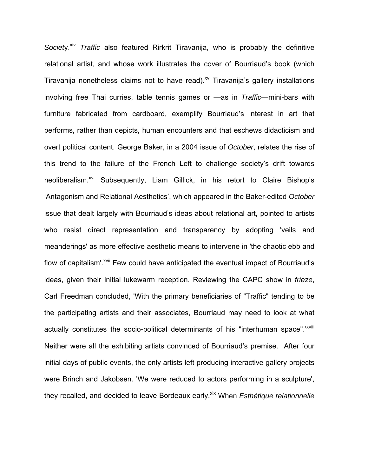*Society.xiv Traffic* also featured Rirkrit Tiravanija, who is probably the definitive relational artist, and whose work illustrates the cover of Bourriaud's book (which Tiravanija nonetheless claims not to have read).<sup>xv</sup> Tiravanija's gallery installations involving free Thai curries, table tennis games or —as in *Traffic*—mini-bars with furniture fabricated from cardboard, exemplify Bourriaud's interest in art that performs, rather than depicts, human encounters and that eschews didacticism and overt political content. George Baker, in a 2004 issue of *October*, relates the rise of this trend to the failure of the French Left to challenge society's drift towards neoliberalism.<sup>xvi</sup> Subsequently, Liam Gillick, in his retort to Claire Bishop's 'Antagonism and Relational Aesthetics', which appeared in the Baker-edited *October* issue that dealt largely with Bourriaud's ideas about relational art, pointed to artists who resist direct representation and transparency by adopting 'veils and meanderings' as more effective aesthetic means to intervene in 'the chaotic ebb and flow of capitalism'.<sup>xvii</sup> Few could have anticipated the eventual impact of Bourriaud's ideas, given their initial lukewarm reception. Reviewing the CAPC show in *frieze*, Carl Freedman concluded, 'With the primary beneficiaries of "Traffic" tending to be the participating artists and their associates, Bourriaud may need to look at what actually constitutes the socio-political determinants of his "interhuman space".<sup>'XVIII</sup> Neither were all the exhibiting artists convinced of Bourriaud's premise. After four initial days of public events, the only artists left producing interactive gallery projects were Brinch and Jakobsen. 'We were reduced to actors performing in a sculpture', they recalled, and decided to leave Bordeaux early.<sup>xix</sup> When *Esthétique relationnelle*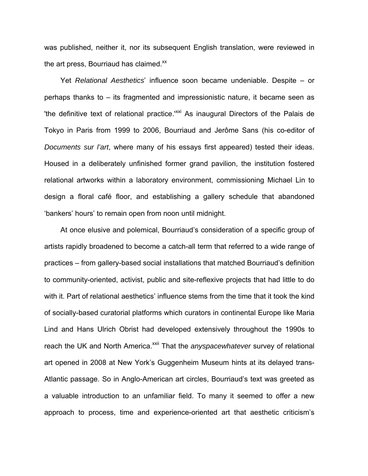was published, neither it, nor its subsequent English translation, were reviewed in the art press, Bourriaud has claimed. $^{xx}$ 

Yet *Relational Aesthetics*' influence soon became undeniable. Despite – or perhaps thanks to – its fragmented and impressionistic nature, it became seen as 'the definitive text of relational practice.<sup>'xxi</sup> As inaugural Directors of the Palais de Tokyo in Paris from 1999 to 2006, Bourriaud and Jerôme Sans (his co-editor of *Documents sur l'art*, where many of his essays first appeared) tested their ideas. Housed in a deliberately unfinished former grand pavilion, the institution fostered relational artworks within a laboratory environment, commissioning Michael Lin to design a floral café floor, and establishing a gallery schedule that abandoned 'bankers' hours' to remain open from noon until midnight.

At once elusive and polemical, Bourriaud's consideration of a specific group of artists rapidly broadened to become a catch-all term that referred to a wide range of practices – from gallery-based social installations that matched Bourriaud's definition to community-oriented, activist, public and site-reflexive projects that had little to do with it. Part of relational aesthetics' influence stems from the time that it took the kind of socially-based curatorial platforms which curators in continental Europe like Maria Lind and Hans Ulrich Obrist had developed extensively throughout the 1990s to reach the UK and North America.<sup>xxii</sup> That the *anyspacewhatever* survey of relational art opened in 2008 at New York's Guggenheim Museum hints at its delayed trans-Atlantic passage. So in Anglo-American art circles, Bourriaud's text was greeted as a valuable introduction to an unfamiliar field. To many it seemed to offer a new approach to process, time and experience-oriented art that aesthetic criticism's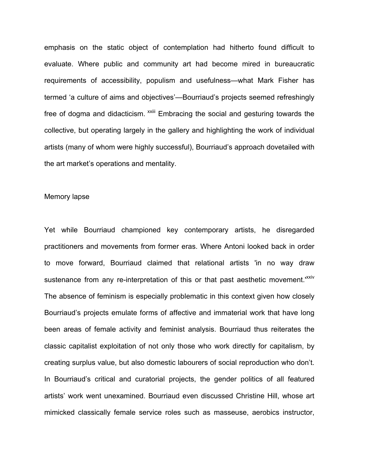emphasis on the static object of contemplation had hitherto found difficult to evaluate. Where public and community art had become mired in bureaucratic requirements of accessibility, populism and usefulness—what Mark Fisher has termed 'a culture of aims and objectives'—Bourriaud's projects seemed refreshingly free of dogma and didacticism. <sup>xxiii</sup> Embracing the social and gesturing towards the collective, but operating largely in the gallery and highlighting the work of individual artists (many of whom were highly successful), Bourriaud's approach dovetailed with the art market's operations and mentality.

## Memory lapse

Yet while Bourriaud championed key contemporary artists, he disregarded practitioners and movements from former eras. Where Antoni looked back in order to move forward, Bourriaud claimed that relational artists 'in no way draw sustenance from any re-interpretation of this or that past aesthetic movement.<sup>'XXIV</sup> The absence of feminism is especially problematic in this context given how closely Bourriaud's projects emulate forms of affective and immaterial work that have long been areas of female activity and feminist analysis. Bourriaud thus reiterates the classic capitalist exploitation of not only those who work directly for capitalism, by creating surplus value, but also domestic labourers of social reproduction who don't. In Bourriaud's critical and curatorial projects, the gender politics of all featured artists' work went unexamined. Bourriaud even discussed Christine Hill, whose art mimicked classically female service roles such as masseuse, aerobics instructor,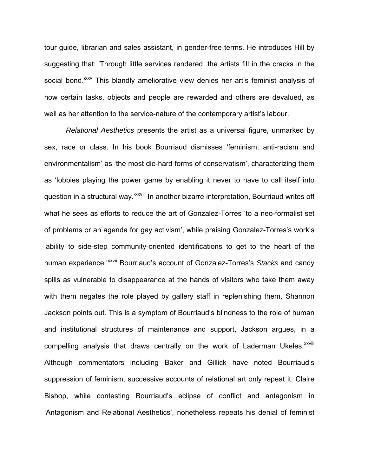tour guide, librarian and sales assistant, in gender-free terms. He introduces Hill by suggesting that: 'Through little services rendered, the artists fill in the cracks in the social bond.<sup>'xxv</sup> This blandly ameliorative view denies her art's feminist analysis of how certain tasks, objects and people are rewarded and others are devalued, as well as her attention to the service-nature of the contemporary artist's labour.

*Relational Aesthetics* presents the artist as a universal figure, unmarked by sex, race or class. In his book Bourriaud dismisses 'feminism, anti-racism and environmentalism' as 'the most die-hard forms of conservatism', characterizing them as 'lobbies playing the power game by enabling it never to have to call itself into question in a structural way.'xxvi In another bizarre interpretation, Bourriaud writes off what he sees as efforts to reduce the art of Gonzalez-Torres 'to a neo-formalist set of problems or an agenda for gay activism', while praising Gonzalez-Torres's work's 'ability to side-step community-oriented identifications to get to the heart of the human experience.'xxvii Bourriaud's account of Gonzalez-Torres's *Stacks* and candy spills as vulnerable to disappearance at the hands of visitors who take them away with them negates the role played by gallery staff in replenishing them, Shannon Jackson points out. This is a symptom of Bourriaud's blindness to the role of human and institutional structures of maintenance and support, Jackson argues, in a compelling analysis that draws centrally on the work of Laderman Ukeles.<sup>xxviii</sup> Although commentators including Baker and Gillick have noted Bourriaud's suppression of feminism, successive accounts of relational art only repeat it. Claire Bishop, while contesting Bourriaud's eclipse of conflict and antagonism in 'Antagonism and Relational Aesthetics', nonetheless repeats his denial of feminist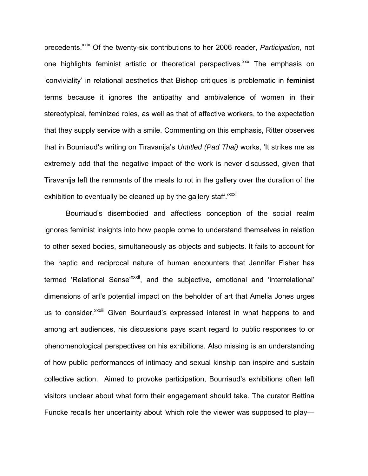precedents.<sup>xxix</sup> Of the twenty-six contributions to her 2006 reader, *Participation*, not one highlights feminist artistic or theoretical perspectives.<sup>xxx</sup> The emphasis on 'conviviality' in relational aesthetics that Bishop critiques is problematic in **feminist**  terms because it ignores the antipathy and ambivalence of women in their stereotypical, feminized roles, as well as that of affective workers, to the expectation that they supply service with a smile. Commenting on this emphasis, Ritter observes that in Bourriaud's writing on Tiravanija's *Untitled (Pad Thai)* works, 'It strikes me as extremely odd that the negative impact of the work is never discussed, given that Tiravanija left the remnants of the meals to rot in the gallery over the duration of the exhibition to eventually be cleaned up by the gallery staff.<sup>xxxi</sup>

Bourriaud's disembodied and affectless conception of the social realm ignores feminist insights into how people come to understand themselves in relation to other sexed bodies, simultaneously as objects and subjects. It fails to account for the haptic and reciprocal nature of human encounters that Jennifer Fisher has termed 'Relational Sense<sup>xxxii</sup>, and the subjective, emotional and 'interrelational' dimensions of art's potential impact on the beholder of art that Amelia Jones urges us to consider.<sup>xxxiii</sup> Given Bourriaud's expressed interest in what happens to and among art audiences, his discussions pays scant regard to public responses to or phenomenological perspectives on his exhibitions. Also missing is an understanding of how public performances of intimacy and sexual kinship can inspire and sustain collective action. Aimed to provoke participation, Bourriaud's exhibitions often left visitors unclear about what form their engagement should take. The curator Bettina Funcke recalls her uncertainty about 'which role the viewer was supposed to play—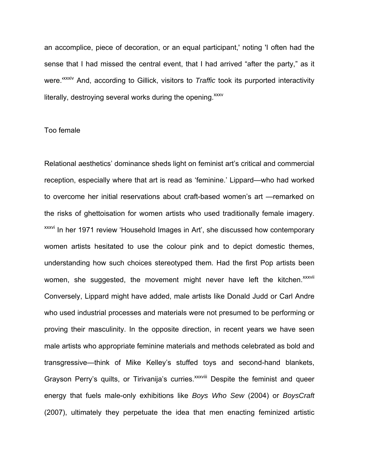an accomplice, piece of decoration, or an equal participant,' noting 'I often had the sense that I had missed the central event, that I had arrived "after the party," as it were.'xxxiv And, according to Gillick, visitors to *Traffic* took its purported interactivity literally, destroying several works during the opening. $xxxv$ 

# Too female

Relational aesthetics' dominance sheds light on feminist art's critical and commercial reception, especially where that art is read as 'feminine.' Lippard—who had worked to overcome her initial reservations about craft-based women's art —remarked on the risks of ghettoisation for women artists who used traditionally female imagery. xxxvi In her 1971 review 'Household Images in Art', she discussed how contemporary women artists hesitated to use the colour pink and to depict domestic themes, understanding how such choices stereotyped them. Had the first Pop artists been women, she suggested, the movement might never have left the kitchen. XXXVII Conversely, Lippard might have added, male artists like Donald Judd or Carl Andre who used industrial processes and materials were not presumed to be performing or proving their masculinity. In the opposite direction, in recent years we have seen male artists who appropriate feminine materials and methods celebrated as bold and transgressive—think of Mike Kelley's stuffed toys and second-hand blankets, Grayson Perry's quilts, or Tirivanija's curries.<sup>XXXViii</sup> Despite the feminist and queer energy that fuels male-only exhibitions like *Boys Who Sew* (2004) or *BoysCraft* (2007), ultimately they perpetuate the idea that men enacting feminized artistic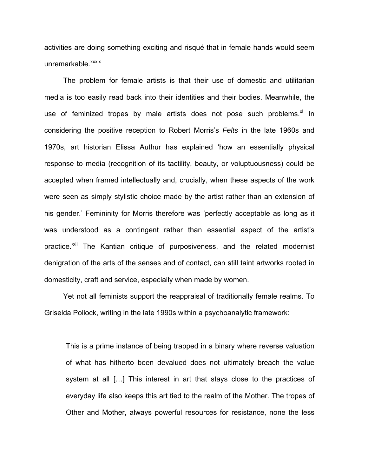activities are doing something exciting and risqué that in female hands would seem unremarkable.<sup>xxxix</sup>

The problem for female artists is that their use of domestic and utilitarian media is too easily read back into their identities and their bodies. Meanwhile, the use of feminized tropes by male artists does not pose such problems. $x^2$  In considering the positive reception to Robert Morris's *Felts* in the late 1960s and 1970s, art historian Elissa Authur has explained 'how an essentially physical response to media (recognition of its tactility, beauty, or voluptuousness) could be accepted when framed intellectually and, crucially, when these aspects of the work were seen as simply stylistic choice made by the artist rather than an extension of his gender.' Femininity for Morris therefore was 'perfectly acceptable as long as it was understood as a contingent rather than essential aspect of the artist's practice.<sup>'xli</sup> The Kantian critique of purposiveness, and the related modernist denigration of the arts of the senses and of contact, can still taint artworks rooted in domesticity, craft and service, especially when made by women.

Yet not all feminists support the reappraisal of traditionally female realms. To Griselda Pollock, writing in the late 1990s within a psychoanalytic framework:

This is a prime instance of being trapped in a binary where reverse valuation of what has hitherto been devalued does not ultimately breach the value system at all […] This interest in art that stays close to the practices of everyday life also keeps this art tied to the realm of the Mother. The tropes of Other and Mother, always powerful resources for resistance, none the less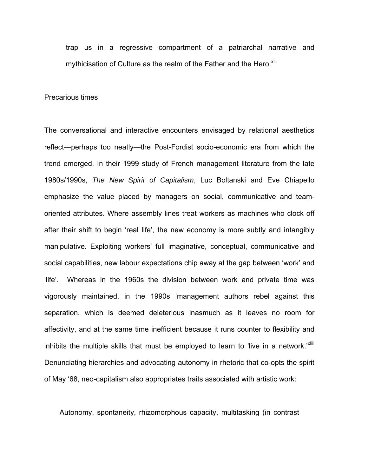trap us in a regressive compartment of a patriarchal narrative and mythicisation of Culture as the realm of the Father and the Hero. Xlii

## Precarious times

The conversational and interactive encounters envisaged by relational aesthetics reflect—perhaps too neatly—the Post-Fordist socio-economic era from which the trend emerged. In their 1999 study of French management literature from the late 1980s/1990s, *The New Spirit of Capitalism*, Luc Boltanski and Eve Chiapello emphasize the value placed by managers on social, communicative and teamoriented attributes. Where assembly lines treat workers as machines who clock off after their shift to begin 'real life', the new economy is more subtly and intangibly manipulative. Exploiting workers' full imaginative, conceptual, communicative and social capabilities, new labour expectations chip away at the gap between 'work' and 'life'. Whereas in the 1960s the division between work and private time was vigorously maintained, in the 1990s 'management authors rebel against this separation, which is deemed deleterious inasmuch as it leaves no room for affectivity, and at the same time inefficient because it runs counter to flexibility and inhibits the multiple skills that must be employed to learn to 'live in a network.'<sup>Xiiii</sup> Denunciating hierarchies and advocating autonomy in rhetoric that co-opts the spirit of May '68, neo-capitalism also appropriates traits associated with artistic work:

Autonomy, spontaneity, rhizomorphous capacity, multitasking (in contrast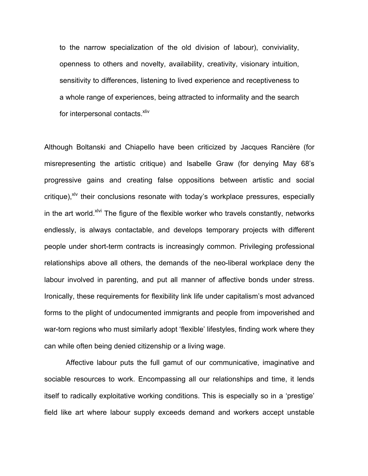to the narrow specialization of the old division of labour), conviviality, openness to others and novelty, availability, creativity, visionary intuition, sensitivity to differences, listening to lived experience and receptiveness to a whole range of experiences, being attracted to informality and the search for interpersonal contacts.<sup>xliv</sup>

Although Boltanski and Chiapello have been criticized by Jacques Rancière (for misrepresenting the artistic critique) and Isabelle Graw (for denying May 68's progressive gains and creating false oppositions between artistic and social critique), $x^{1/2}$  their conclusions resonate with today's workplace pressures, especially in the art world.<sup>xlvi</sup> The figure of the flexible worker who travels constantly, networks endlessly, is always contactable, and develops temporary projects with different people under short-term contracts is increasingly common. Privileging professional relationships above all others, the demands of the neo-liberal workplace deny the labour involved in parenting, and put all manner of affective bonds under stress. Ironically, these requirements for flexibility link life under capitalism's most advanced forms to the plight of undocumented immigrants and people from impoverished and war-torn regions who must similarly adopt 'flexible' lifestyles, finding work where they can while often being denied citizenship or a living wage.

 Affective labour puts the full gamut of our communicative, imaginative and sociable resources to work. Encompassing all our relationships and time, it lends itself to radically exploitative working conditions. This is especially so in a 'prestige' field like art where labour supply exceeds demand and workers accept unstable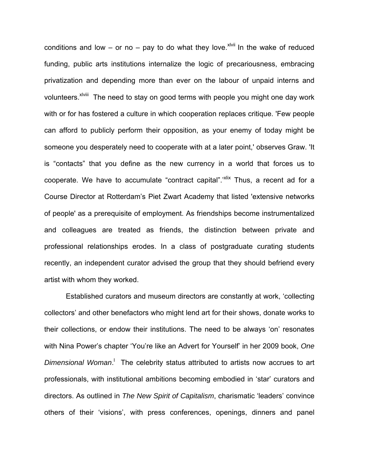conditions and low – or no – pay to do what they love. Xivii In the wake of reduced funding, public arts institutions internalize the logic of precariousness, embracing privatization and depending more than ever on the labour of unpaid interns and volunteers.<sup>xlviii</sup> The need to stay on good terms with people you might one day work with or for has fostered a culture in which cooperation replaces critique. 'Few people can afford to publicly perform their opposition, as your enemy of today might be someone you desperately need to cooperate with at a later point,' observes Graw. 'It is "contacts" that you define as the new currency in a world that forces us to cooperate. We have to accumulate "contract capital".<sup>"Xiix</sup> Thus, a recent ad for a Course Director at Rotterdam's Piet Zwart Academy that listed 'extensive networks of people' as a prerequisite of employment. As friendships become instrumentalized and colleagues are treated as friends, the distinction between private and professional relationships erodes. In a class of postgraduate curating students recently, an independent curator advised the group that they should befriend every artist with whom they worked.

 Established curators and museum directors are constantly at work, 'collecting collectors' and other benefactors who might lend art for their shows, donate works to their collections, or endow their institutions. The need to be always 'on' resonates with Nina Power's chapter 'You're like an Advert for Yourself' in her 2009 book, *One*  Dimensional Woman.<sup>1</sup> The celebrity status attributed to artists now accrues to art professionals, with institutional ambitions becoming embodied in 'star' curators and directors. As outlined in *The New Spirit of Capitalism*, charismatic 'leaders' convince others of their 'visions', with press conferences, openings, dinners and panel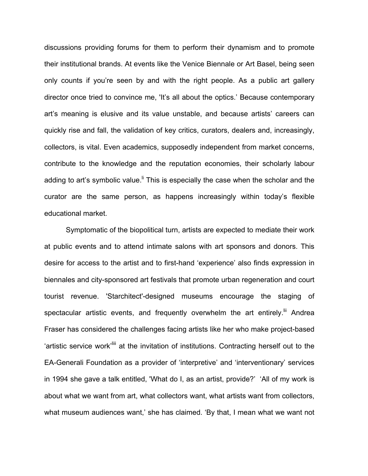discussions providing forums for them to perform their dynamism and to promote their institutional brands. At events like the Venice Biennale or Art Basel, being seen only counts if you're seen by and with the right people. As a public art gallery director once tried to convince me, 'It's all about the optics.' Because contemporary art's meaning is elusive and its value unstable, and because artists' careers can quickly rise and fall, the validation of key critics, curators, dealers and, increasingly, collectors, is vital. Even academics, supposedly independent from market concerns, contribute to the knowledge and the reputation economies, their scholarly labour adding to art's symbolic value.<sup>If</sup> This is especially the case when the scholar and the curator are the same person, as happens increasingly within today's flexible educational market.

 Symptomatic of the biopolitical turn, artists are expected to mediate their work at public events and to attend intimate salons with art sponsors and donors. This desire for access to the artist and to first-hand 'experience' also finds expression in biennales and city-sponsored art festivals that promote urban regeneration and court tourist revenue. 'Starchitect'-designed museums encourage the staging of spectacular artistic events, and frequently overwhelm the art entirely.<sup>III</sup> Andrea Fraser has considered the challenges facing artists like her who make project-based 'artistic service work<sup>'liii</sup> at the invitation of institutions. Contracting herself out to the EA-Generali Foundation as a provider of 'interpretive' and 'interventionary' services in 1994 she gave a talk entitled, 'What do I, as an artist, provide?' 'All of my work is about what we want from art, what collectors want, what artists want from collectors, what museum audiences want,' she has claimed. 'By that, I mean what we want not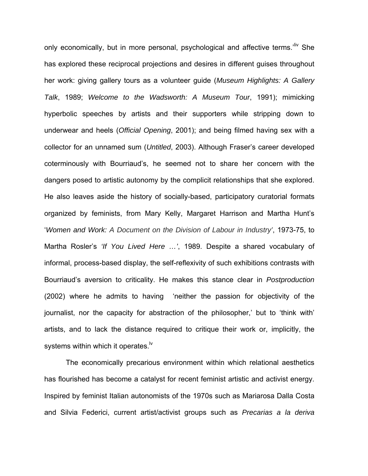only economically, but in more personal, psychological and affective terms.<sup>'liv</sup> She has explored these reciprocal projections and desires in different guises throughout her work: giving gallery tours as a volunteer guide (*Museum Highlights: A Gallery Talk*, 1989; *Welcome to the Wadsworth: A Museum Tour*, 1991); mimicking hyperbolic speeches by artists and their supporters while stripping down to underwear and heels (*Official Opening*, 2001); and being filmed having sex with a collector for an unnamed sum (*Untitled*, 2003). Although Fraser's career developed coterminously with Bourriaud's, he seemed not to share her concern with the dangers posed to artistic autonomy by the complicit relationships that she explored. He also leaves aside the history of socially-based, participatory curatorial formats organized by feminists, from Mary Kelly, Margaret Harrison and Martha Hunt's '*Women and Work: A Document on the Division of Labour in Industry'*, 1973-75, to Martha Rosler's *'If You Lived Here …'*, 1989. Despite a shared vocabulary of informal, process-based display, the self-reflexivity of such exhibitions contrasts with Bourriaud's aversion to criticality. He makes this stance clear in *Postproduction* (2002) where he admits to having 'neither the passion for objectivity of the journalist, nor the capacity for abstraction of the philosopher,' but to 'think with' artists, and to lack the distance required to critique their work or, implicitly, the systems within which it operates.<sup>Iv</sup>

 The economically precarious environment within which relational aesthetics has flourished has become a catalyst for recent feminist artistic and activist energy. Inspired by feminist Italian autonomists of the 1970s such as Mariarosa Dalla Costa and Silvia Federici, current artist/activist groups such as *Precarias a la deriva*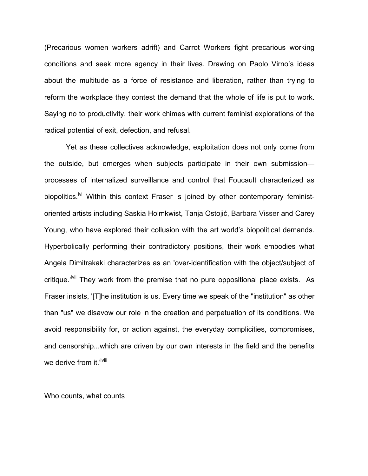(Precarious women workers adrift) and Carrot Workers fight precarious working conditions and seek more agency in their lives. Drawing on Paolo Virno's ideas about the multitude as a force of resistance and liberation, rather than trying to reform the workplace they contest the demand that the whole of life is put to work. Saying no to productivity, their work chimes with current feminist explorations of the radical potential of exit, defection, and refusal.

Yet as these collectives acknowledge, exploitation does not only come from the outside, but emerges when subjects participate in their own submission processes of internalized surveillance and control that Foucault characterized as biopolitics.<sup> $Ni$ </sup> Within this context Fraser is joined by other contemporary feministoriented artists including Saskia Holmkwist, Tanja Ostojić, Barbara Visser and Carey Young, who have explored their collusion with the art world's biopolitical demands. Hyperbolically performing their contradictory positions, their work embodies what Angela Dimitrakaki characterizes as an 'over-identification with the object/subject of critique.<sup>"Vii</sup> They work from the premise that no pure oppositional place exists. As Fraser insists, '[T]he institution is us. Every time we speak of the "institution" as other than "us" we disavow our role in the creation and perpetuation of its conditions. We avoid responsibility for, or action against, the everyday complicities, compromises, and censorship...which are driven by our own interests in the field and the benefits we derive from it.<sup>'Iviii</sup>

Who counts, what counts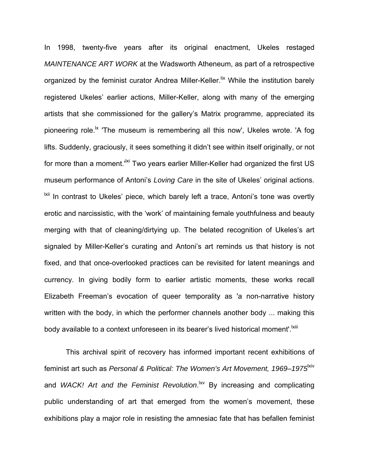In 1998, twenty-five years after its original enactment, Ukeles restaged *MAINTENANCE ART WORK* at the Wadsworth Atheneum, as part of a retrospective organized by the feminist curator Andrea Miller-Keller.<sup>lix</sup> While the institution barely registered Ukeles' earlier actions, Miller-Keller, along with many of the emerging artists that she commissioned for the gallery's Matrix programme, appreciated its pioneering role.<sup>1x</sup> 'The museum is remembering all this now', Ukeles wrote. 'A fog lifts. Suddenly, graciously, it sees something it didn't see within itself originally, or not for more than a moment.<sup>IXI</sup> Two years earlier Miller-Keller had organized the first US museum performance of Antoni's *Loving Care* in the site of Ukeles' original actions. <sup>Ixii</sup> In contrast to Ukeles' piece, which barely left a trace, Antoni's tone was overtly erotic and narcissistic, with the 'work' of maintaining female youthfulness and beauty merging with that of cleaning/dirtying up. The belated recognition of Ukeles's art signaled by Miller-Keller's curating and Antoni's art reminds us that history is not fixed, and that once-overlooked practices can be revisited for latent meanings and currency. In giving bodily form to earlier artistic moments, these works recall Elizabeth Freeman's evocation of queer temporality as 'a non-narrative history written with the body, in which the performer channels another body ... making this body available to a context unforeseen in its bearer's lived historical moment'.<sup>Ixiii</sup>

 This archival spirit of recovery has informed important recent exhibitions of feminist art such as *Personal & Political: The Women's Art Movement, 1969–1975*<sup>kiv</sup> and *WACK! Art and the Feminist Revolution*.<sup>|XV</sup> By increasing and complicating public understanding of art that emerged from the women's movement, these exhibitions play a major role in resisting the amnesiac fate that has befallen feminist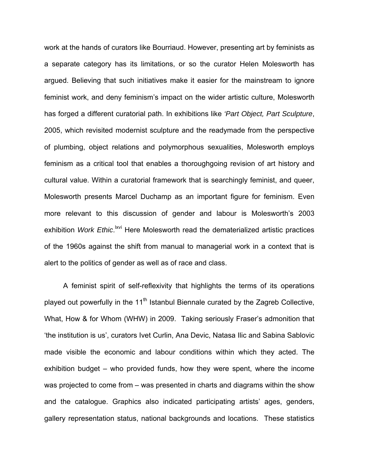work at the hands of curators like Bourriaud. However, presenting art by feminists as a separate category has its limitations, or so the curator Helen Molesworth has argued. Believing that such initiatives make it easier for the mainstream to ignore feminist work, and deny feminism's impact on the wider artistic culture, Molesworth has forged a different curatorial path. In exhibitions like *'Part Object, Part Sculpture*, 2005, which revisited modernist sculpture and the readymade from the perspective of plumbing, object relations and polymorphous sexualities, Molesworth employs feminism as a critical tool that enables a thoroughgoing revision of art history and cultural value. Within a curatorial framework that is searchingly feminist, and queer, Molesworth presents Marcel Duchamp as an important figure for feminism. Even more relevant to this discussion of gender and labour is Molesworth's 2003 exhibition *Work Ethic.*<sup>Ixvi</sup> Here Molesworth read the dematerialized artistic practices of the 1960s against the shift from manual to managerial work in a context that is alert to the politics of gender as well as of race and class.

A feminist spirit of self-reflexivity that highlights the terms of its operations played out powerfully in the  $11<sup>th</sup>$  Istanbul Biennale curated by the Zagreb Collective, What, How & for Whom (WHW) in 2009. Taking seriously Fraser's admonition that 'the institution is us', curators Ivet Curlin, Ana Devic, Natasa Ilic and Sabina Sablovic made visible the economic and labour conditions within which they acted. The exhibition budget – who provided funds, how they were spent, where the income was projected to come from – was presented in charts and diagrams within the show and the catalogue. Graphics also indicated participating artists' ages, genders, gallery representation status, national backgrounds and locations. These statistics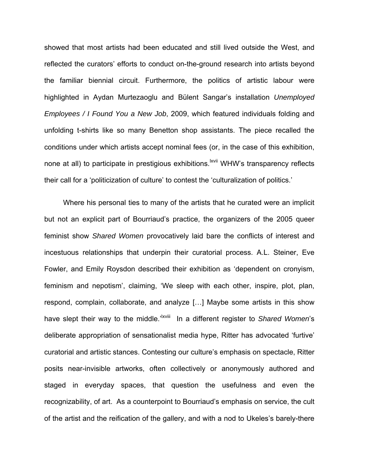showed that most artists had been educated and still lived outside the West, and reflected the curators' efforts to conduct on-the-ground research into artists beyond the familiar biennial circuit. Furthermore, the politics of artistic labour were highlighted in Aydan Murtezaoglu and Bülent Sangar's installation *Unemployed Employees / I Found You a New Job*, 2009, which featured individuals folding and unfolding t-shirts like so many Benetton shop assistants. The piece recalled the conditions under which artists accept nominal fees (or, in the case of this exhibition, none at all) to participate in prestigious exhibitions.<sup>Ixvii</sup> WHW's transparency reflects their call for a 'politicization of culture' to contest the 'culturalization of politics.'

Where his personal ties to many of the artists that he curated were an implicit but not an explicit part of Bourriaud's practice, the organizers of the 2005 queer feminist show *Shared Women* provocatively laid bare the conflicts of interest and incestuous relationships that underpin their curatorial process. A.L. Steiner, Eve Fowler, and Emily Roysdon described their exhibition as 'dependent on cronyism, feminism and nepotism', claiming, 'We sleep with each other, inspire, plot, plan, respond, complain, collaborate, and analyze […] Maybe some artists in this show have slept their way to the middle.<sup>'|Xviii</sup> In a different register to *Shared Women's* deliberate appropriation of sensationalist media hype, Ritter has advocated 'furtive' curatorial and artistic stances. Contesting our culture's emphasis on spectacle, Ritter posits near-invisible artworks, often collectively or anonymously authored and staged in everyday spaces, that question the usefulness and even the recognizability, of art. As a counterpoint to Bourriaud's emphasis on service, the cult of the artist and the reification of the gallery, and with a nod to Ukeles's barely-there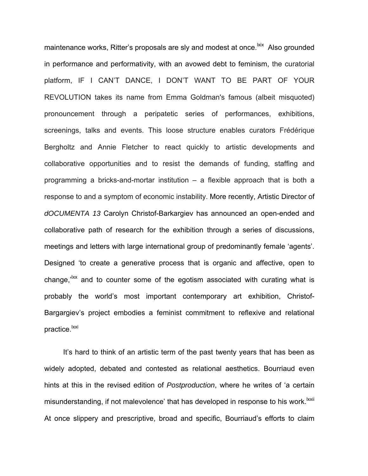maintenance works. Ritter's proposals are sly and modest at once.<sup>|xix</sup> Also grounded in performance and performativity, with an avowed debt to feminism, the curatorial platform, IF I CAN'T DANCE, I DON'T WANT TO BE PART OF YOUR REVOLUTION takes its name from Emma Goldman's famous (albeit misquoted) pronouncement through a peripatetic series of performances, exhibitions, screenings, talks and events. This loose structure enables curators Frédérique Bergholtz and Annie Fletcher to react quickly to artistic developments and collaborative opportunities and to resist the demands of funding, staffing and programming a bricks-and-mortar institution – a flexible approach that is both a response to and a symptom of economic instability. More recently, Artistic Director of *dOCUMENTA 13* Carolyn Christof-Barkargiev has announced an open-ended and collaborative path of research for the exhibition through a series of discussions, meetings and letters with large international group of predominantly female 'agents'. Designed 'to create a generative process that is organic and affective, open to change, $i^{kx}$  and to counter some of the egotism associated with curating what is probably the world's most important contemporary art exhibition, Christof-Bargargiev's project embodies a feminist commitment to reflexive and relational practice.<sup>lxxi</sup>

It's hard to think of an artistic term of the past twenty years that has been as widely adopted, debated and contested as relational aesthetics. Bourriaud even hints at this in the revised edition of *Postproduction*, where he writes of 'a certain misunderstanding, if not malevolence' that has developed in response to his work.<sup>Ixxii</sup> At once slippery and prescriptive, broad and specific, Bourriaud's efforts to claim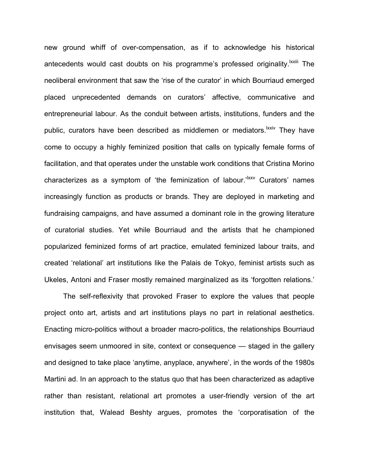new ground whiff of over-compensation, as if to acknowledge his historical antecedents would cast doubts on his programme's professed originality.<sup>IXXIII</sup> The neoliberal environment that saw the 'rise of the curator' in which Bourriaud emerged placed unprecedented demands on curators' affective, communicative and entrepreneurial labour. As the conduit between artists, institutions, funders and the public, curators have been described as middlemen or mediators.<sup>Ixxiv</sup> They have come to occupy a highly feminized position that calls on typically female forms of facilitation, and that operates under the unstable work conditions that Cristina Morino characterizes as a symptom of 'the feminization of labour.<sup>'lxxv</sup> Curators' names increasingly function as products or brands. They are deployed in marketing and fundraising campaigns, and have assumed a dominant role in the growing literature of curatorial studies. Yet while Bourriaud and the artists that he championed popularized feminized forms of art practice, emulated feminized labour traits, and created 'relational' art institutions like the Palais de Tokyo, feminist artists such as Ukeles, Antoni and Fraser mostly remained marginalized as its 'forgotten relations.'

The self-reflexivity that provoked Fraser to explore the values that people project onto art, artists and art institutions plays no part in relational aesthetics. Enacting micro-politics without a broader macro-politics, the relationships Bourriaud envisages seem unmoored in site, context or consequence — staged in the gallery and designed to take place 'anytime, anyplace, anywhere', in the words of the 1980s Martini ad. In an approach to the status quo that has been characterized as adaptive rather than resistant, relational art promotes a user-friendly version of the art institution that, Walead Beshty argues, promotes the 'corporatisation of the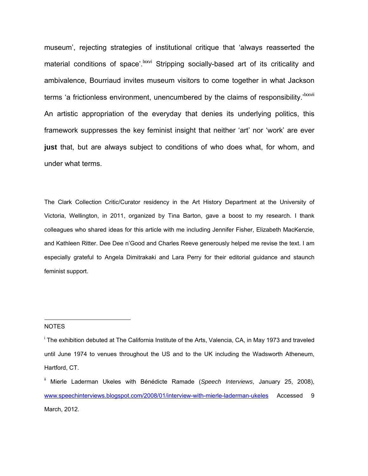museum', rejecting strategies of institutional critique that 'always reasserted the material conditions of space'.<sup>Ixxvi</sup> Stripping socially-based art of its criticality and ambivalence, Bourriaud invites museum visitors to come together in what Jackson terms 'a frictionless environment, unencumbered by the claims of responsibility.<sup>'Ixxvii</sup> An artistic appropriation of the everyday that denies its underlying politics, this framework suppresses the key feminist insight that neither 'art' nor 'work' are ever **just** that, but are always subject to conditions of who does what, for whom, and under what terms.

The Clark Collection Critic/Curator residency in the Art History Department at the University of Victoria, Wellington, in 2011, organized by Tina Barton, gave a boost to my research. I thank colleagues who shared ideas for this article with me including Jennifer Fisher, Elizabeth MacKenzie, and Kathleen Ritter. Dee Dee n'Good and Charles Reeve generously helped me revise the text. I am especially grateful to Angela Dimitrakaki and Lara Perry for their editorial guidance and staunch feminist support.

#### NOTES

 $\overline{a}$ 

<sup>&</sup>lt;sup>i</sup> The exhibition debuted at The California Institute of the Arts, Valencia, CA, in May 1973 and traveled until June 1974 to venues throughout the US and to the UK including the Wadsworth Atheneum, Hartford, CT.

ii Mierle Laderman Ukeles with Bénédicte Ramade (*Speech Interviews*, January 25, 2008), www.speechinterviews.blogspot.com/2008/01/interview-with-mierle-laderman-ukeles Accessed 9 March, 2012.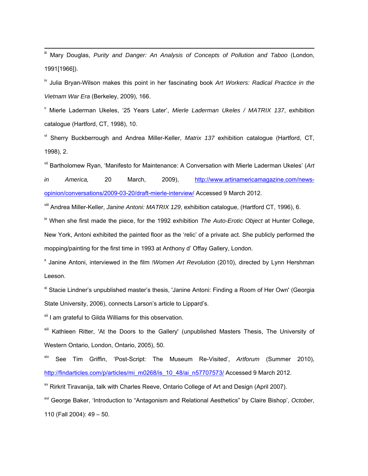Mary Douglas, *Purity and Danger: An Analysis of Concepts of Pollution and Taboo* (London, 1991[1966]).

iv Julia Bryan-Wilson makes this point in her fascinating book *Art Workers: Radical Practice in the Vietnam War Era* (Berkeley, 2009), 166.

v Mierle Laderman Ukeles, '25 Years Later', *Mierle Laderman Ukeles / MATRIX 137*, exhibition catalogue (Hartford, CT, 1998), 10.

vi Sherry Buckberrough and Andrea Miller-Keller, *Matrix 137* exhibition catalogue (Hartford, CT, 1998), 2.

vii Bartholomew Ryan, 'Manifesto for Maintenance: A Conversation with Mierle Laderman Ukeles' (*Art in America,* 20 March, 2009), http://www.artinamericamagazine.com/newsopinion/conversations/2009-03-20/draft-mierle-interview/ Accessed 9 March 2012.

viii Andrea Miller-Keller, *Janine Antoni: MATRIX 129*, exhibition catalogue, (Hartford CT, 1996), 6.

ix When she first made the piece, for the 1992 exhibition *The Auto-Erotic Object* at Hunter College, New York, Antoni exhibited the painted floor as the 'relic' of a private act. She publicly performed the mopping/painting for the first time in 1993 at Anthony d' Offay Gallery, London.

x Janine Antoni, interviewed in the film *!Women Art Revolution* (2010), directed by Lynn Hershman Leeson.

<sup>xi</sup> Stacie Lindner's unpublished master's thesis, 'Janine Antoni: Finding a Room of Her Own' (Georgia State University, 2006), connects Larson's article to Lippard's.

<sup>xii</sup> I am grateful to Gilda Williams for this observation.

<sup>xiii</sup> Kathleen Ritter, 'At the Doors to the Gallery' (unpublished Masters Thesis, The University of Western Ontario, London, Ontario, 2005), 50.

xiv See Tim Griffin, 'Post-Script: The Museum Re-Visited', *Artforum* (Summer 2010), http://findarticles.com/p/articles/mi\_m0268/is\_10\_48/ai\_n57707573/ Accessed 9 March 2012.

<sup>xv</sup> Rirkrit Tiravanija, talk with Charles Reeve, Ontario College of Art and Design (April 2007).

xvi George Baker, 'Introduction to "Antagonism and Relational Aesthetics" by Claire Bishop', *October*, 110 (Fall 2004): 49 – 50.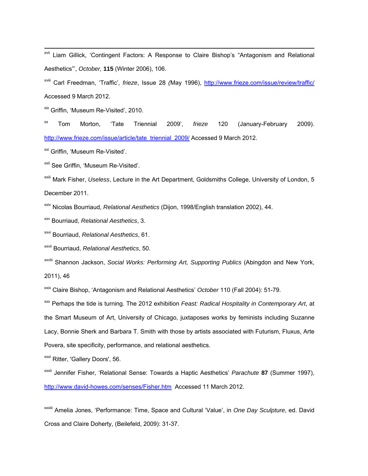xvii Liam Gillick, 'Contingent Factors: A Response to Claire Bishop's "Antagonism and Relational Aesthetics"', *October,* **115** (Winter 2006), 106.

xviii Carl Freedman, 'Traffic', *frieze*, Issue 28 *(*May 1996), http://www.frieze.com/issue/review/traffic/ Accessed 9 March 2012.

xix Griffin, 'Museum Re-Visited', 2010.

xx Tom Morton, 'Tate Triennial 2009', *frieze* 120 (January-February 2009). http://www.frieze.com/issue/article/tate\_triennial\_2009/ Accessed 9 March 2012.

<sup>xxi</sup> Griffin, 'Museum Re-Visited'.

xxii See Griffin, 'Museum Re-Visited'.

xxiii Mark Fisher, *Useless*, Lecture in the Art Department, Goldsmiths College, University of London, 5 December 2011.

xxiv Nicolas Bourriaud, *Relational Aesthetics* (Dijon, 1998/English translation 2002), 44.

xxv Bourriaud, *Relational Aesthetics*, 3.

xxvi Bourriaud, *Relational Aesthetics*, 61.

xxvii Bourriaud, *Relational Aesthetics*, 50.

xxviii Shannon Jackson, *Social Works: Performing Art, Supporting Publics* (Abingdon and New York, 2011), 46

xxix Claire Bishop, 'Antagonism and Relational Aesthetics' *October* 110 (Fall 2004): 51-79.

xxx Perhaps the tide is turning. The 2012 exhibition *Feast: Radical Hospitality in Contemporary Art*, at the Smart Museum of Art, University of Chicago, juxtaposes works by feminists including Suzanne Lacy, Bonnie Sherk and Barbara T. Smith with those by artists associated with Futurism, Fluxus, Arte Povera, site specificity, performance, and relational aesthetics.

<sup>xxxi</sup> Ritter, 'Gallery Doors', 56.

xxxii Jennifer Fisher, 'Relational Sense: Towards a Haptic Aesthetics' *Parachute* **87** (Summer 1997), http://www.david-howes.com/senses/Fisher.htm Accessed 11 March 2012.

xxxiii Amelia Jones, 'Performance: Time, Space and Cultural 'Value', in *One Day Sculpture*, ed. David Cross and Claire Doherty, (Beilefeld, 2009): 31-37.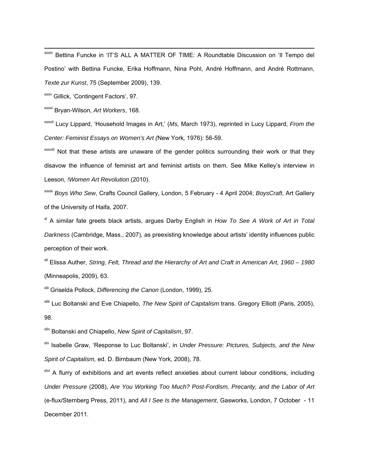xxxiv Bettina Funcke in 'IT'S ALL A MATTER OF TIME: A Roundtable Discussion on 'Il Tempo del Postino' with Bettina Funcke, Erika Hoffmann, Nina Pohl, André Hoffmann, and André Rottmann, *Texte zur Kunst*, 75 (September 2009), 139.

xxxv Gillick, 'Contingent Factors', 97.

xxxvi Bryan-Wilson, *Art Workers*, 168.

xxxvii Lucy Lippard, 'Household Images in Art,' (*Ms,* March 1973), reprinted in Lucy Lippard, *From the Center: Feminist Essays on Women's Art (*New York*,* 1976)*:* 56-59.

xxxviii Not that these artists are unaware of the gender politics surrounding their work or that they disavow the influence of feminist art and feminist artists on them. See Mike Kelley's interview in Leeson, *!Women Art Revolution* (2010).

xxxix *Boys Who Sew*, Crafts Council Gallery, London, 5 February - 4 April 2004; *BoysCraft*, Art Gallery of the University of Haifa, 2007.

xl A similar fate greets black artists, argues Darby English in *How To See A Work of Art in Total Darkness* (Cambridge, Mass., 2007), as preexisting knowledge about artists' identity influences public perception of their work.

xli Elissa Auther, *String, Felt, Thread and the Hierarchy of Art and Craft in American Art, 1960 – 1980* (Minneapolis, 2009), 63.

xlii Griselda Pollock, *Differencing the Canon* (London, 1999), 25.

xliii Luc Boltanski and Eve Chiapello, *The New Spirit of Capitalism* trans. Gregory Elliott (Paris, 2005), 98.

xliv Boltanski and Chiapello, *New Spirit of Capitalism*, 97.

xlv Isabelle Graw, 'Response to Luc Boltanski', in *Under Pressure: Pictures, Subjects, and the New Spirit of Capitalism,* ed. D. Birnbaum (New York, 2008), 78.

<sup>xlvi</sup> A flurry of exhibitions and art events reflect anxieties about current labour conditions, including *Under Pressure* (2008), *Are You Working Too Much? Post-Fordism, Precarity, and the Labor of Art* (e-flux/Sternberg Press, 2011), and *All I See Is the Management*, Gasworks, London, 7 October - 11 December 2011.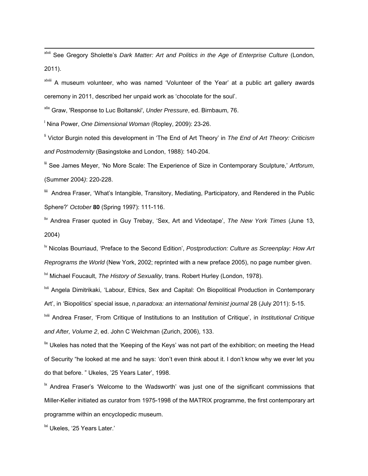xlvii See Gregory Sholette's *Dark Matter: Art and Politics in the Age of Enterprise Culture* (London, 2011).

xlviii A museum volunteer, who was named 'Volunteer of the Year' at a public art gallery awards ceremony in 2011, described her unpaid work as 'chocolate for the soul'.

xlix Graw, 'Response to Luc Boltanski', *Under Pressure*, ed. Birnbaum, 76.

l Nina Power, *One Dimensional Woman* (Ropley, 2009): 23-26.

li Victor Burgin noted this development in 'The End of Art Theory' in *The End of Art Theory: Criticism and Postmodernity* (Basingstoke and London, 1988): 140-204.

lii See James Meyer, 'No More Scale: The Experience of Size in Contemporary Sculpture,' *Artforum*, (Summer 2004*)*: 220-228.

liii Andrea Fraser, 'What's Intangible, Transitory, Mediating, Participatory, and Rendered in the Public Sphere?' *October* **80** (Spring 1997): 111-116.

liv Andrea Fraser quoted in Guy Trebay, 'Sex, Art and Videotape', *The New York Times* (June 13, 2004)

lv Nicolas Bourriaud, 'Preface to the Second Edition', *Postproduction: Culture as Screenplay: How Art Reprograms the World* (New York, 2002; reprinted with a new preface 2005), no page number given.

<sup>M</sup> Michael Foucault. *The History of Sexuality*, trans. Robert Hurley (London, 1978).

<sup>Ivii</sup> Angela Dimitrikaki, 'Labour, Ethics, Sex and Capital: On Biopolitical Production in Contemporary Art', in 'Biopolitics' special issue, *n.paradoxa: an international feminist journal* 28 (July 2011): 5-15.

lviii Andrea Fraser, 'From Critique of Institutions to an Institution of Critique', in *Institutional Critique and After, Volume 2*, ed. John C Welchman (Zurich, 2006), 133.

 $\frac{1}{x}$  Ukeles has noted that the 'Keeping of the Keys' was not part of the exhibition; on meeting the Head of Security "he looked at me and he says: 'don't even think about it. I don't know why we ever let you do that before. " Ukeles, '25 Years Later', 1998.

 $\mu$  Andrea Fraser's 'Welcome to the Wadsworth' was just one of the significant commissions that Miller-Keller initiated as curator from 1975-1998 of the MATRIX programme, the first contemporary art programme within an encyclopedic museum.

<sup>Ixi</sup> Ukeles, '25 Years Later.'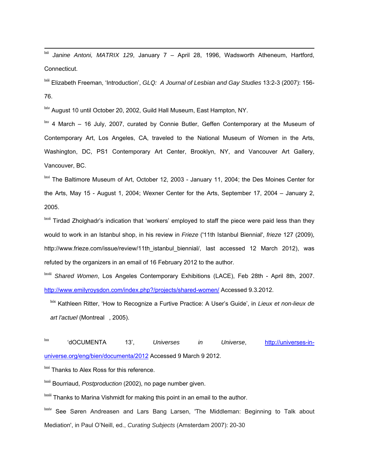lxii *Janine Antoni, MATRIX 129*, January 7 – April 28, 1996, Wadsworth Atheneum, Hartford, Connecticut.

lxiii Elizabeth Freeman, 'Introduction', *GLQ: A Journal of Lesbian and Gay Studies* 13:2-3 (2007): 156- 76.

lxiv August 10 until October 20, 2002, Guild Hall Museum, East Hampton, NY.

 $\frac{1}{x}$  4 March – 16 July, 2007, curated by Connie Butler, Geffen Contemporary at the Museum of Contemporary Art, Los Angeles, CA, traveled to the National Museum of Women in the Arts, Washington, DC, PS1 Contemporary Art Center, Brooklyn, NY, and Vancouver Art Gallery, Vancouver, BC.

lxvi The Baltimore Museum of Art, October 12, 2003 - January 11, 2004; the Des Moines Center for the Arts, May 15 - August 1, 2004; Wexner Center for the Arts, September 17, 2004 – January 2, 2005.

<sup>Ixvii</sup> Tirdad Zholghadr's indication that 'workers' employed to staff the piece were paid less than they would to work in an Istanbul shop, in his review in *Frieze* ('11th Istanbul Biennial', *frieze* 127 (2009), http://www.frieze.com/issue/review/11th\_istanbul\_biennial/, last accessed 12 March 2012), was refuted by the organizers in an email of 16 February 2012 to the author.

lxviii *Shared Women*, Los Angeles Contemporary Exhibitions (LACE), Feb 28th - April 8th, 2007. http://www.emilyroysdon.com/index.php?/projects/shared-women/ Accessed 9.3.2012.

lxix Kathleen Ritter, 'How to Recognize a Furtive Practice: A User's Guide', in *Lieux et non-lieux de art l'actuel* (Montreal, 2005).

lxx 'dOCUMENTA 13', *Universes in Universe*, http://universes-inuniverse.org/eng/bien/documenta/2012 Accessed 9 March 9 2012.

<sup>Ixxi</sup> Thanks to Alex Ross for this reference.

lxxii Bourriaud, *Postproduction* (2002), no page number given.

<sup>Ixxiii</sup> Thanks to Marina Vishmidt for making this point in an email to the author.

lxxiv See Søren Andreasen and Lars Bang Larsen, 'The Middleman: Beginning to Talk about Mediation', in Paul O'Neill, ed., *Curating Subjects* (Amsterdam 2007): 20-30